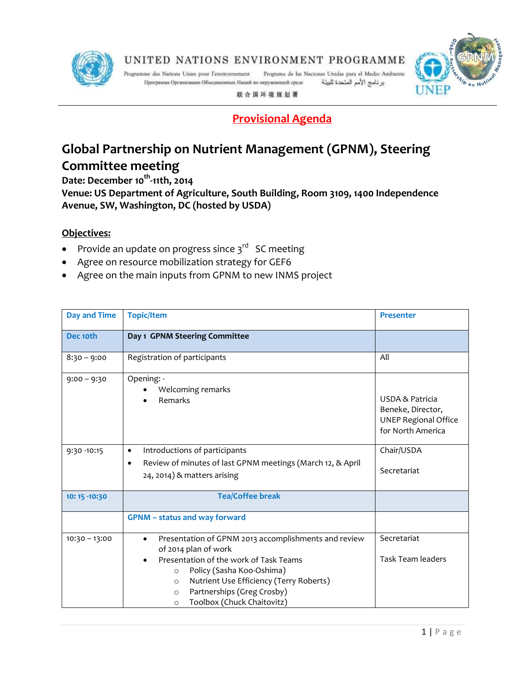

UNITED NATIONS ENVIRONMENT PROGRAMME

Programme des Nations Unies pour l'environnement Программа Организации Объединенных Наций по окружающей среде

Programa de las Naciones Unidas para el Medio Ambiente برنامج الأمم المتحدة للبيئة



联合国环境规划署

## **Provisional Agenda**

## **Global Partnership on Nutrient Management (GPNM), Steering Committee meeting**

**Date: December 10 th -11th, 2014**

**Venue: US Department of Agriculture, South Building, Room 3109, 1400 Independence Avenue, SW, Washington, DC (hosted by USDA)**

## **Objectives:**

- Provide an update on progress since 3 $^{\text{rd}}$  SC meeting
- Agree on resource mobilization strategy for GEF6
- Agree on the main inputs from GPNM to new INMS project

| <b>Day and Time</b> | <b>Topic/Item</b>                                                                                                                                                                                                                                                                                                   | <b>Presenter</b>                                                                         |
|---------------------|---------------------------------------------------------------------------------------------------------------------------------------------------------------------------------------------------------------------------------------------------------------------------------------------------------------------|------------------------------------------------------------------------------------------|
| Dec 10th            | Day 1 GPNM Steering Committee                                                                                                                                                                                                                                                                                       |                                                                                          |
| $8:30 - 9:00$       | Registration of participants                                                                                                                                                                                                                                                                                        | All                                                                                      |
| $9:00 - 9:30$       | Opening: -<br>Welcoming remarks<br>Remarks                                                                                                                                                                                                                                                                          | USDA & Patricia<br>Beneke, Director,<br><b>UNEP Regional Office</b><br>for North America |
| 9:30 - 10:15        | Introductions of participants<br>$\bullet$<br>Review of minutes of last GPNM meetings (March 12, & April<br>$\bullet$<br>24, 2014) & matters arising                                                                                                                                                                | Chair/USDA<br>Secretariat                                                                |
| 10:15 - 10:30       | <b>Tea/Coffee break</b>                                                                                                                                                                                                                                                                                             |                                                                                          |
|                     | <b>GPNM - status and way forward</b>                                                                                                                                                                                                                                                                                |                                                                                          |
| $10:30 - 13:00$     | Presentation of GPNM 2013 accomplishments and review<br>$\bullet$<br>of 2014 plan of work<br>Presentation of the work of Task Teams<br>Policy (Sasha Koo-Oshima)<br>$\circ$<br>Nutrient Use Efficiency (Terry Roberts)<br>$\circ$<br>Partnerships (Greg Crosby)<br>$\circ$<br>Toolbox (Chuck Chaitovitz)<br>$\circ$ | Secretariat<br><b>Task Team leaders</b>                                                  |